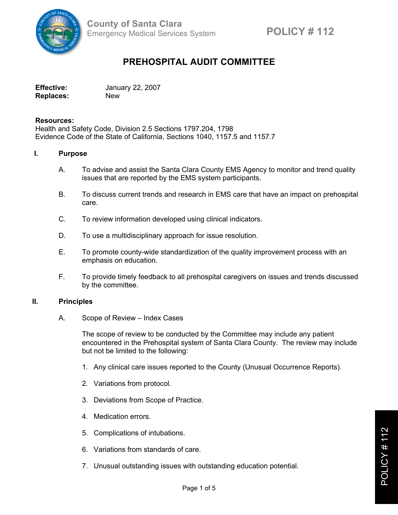

# **PREHOSPITAL AUDIT COMMITTEE**

| <b>Effective:</b> | January 22, 2007 |
|-------------------|------------------|
| <b>Replaces:</b>  | <b>New</b>       |

## **Resources:**

Health and Safety Code, Division 2.5 Sections 1797.204, 1798 Evidence Code of the State of California, Sections 1040, 1157.5 and 1157.7

## **I. Purpose**

- A. To advise and assist the Santa Clara County EMS Agency to monitor and trend quality issues that are reported by the EMS system participants.
- B. To discuss current trends and research in EMS care that have an impact on prehospital care.
- C. To review information developed using clinical indicators.
- D. To use a multidisciplinary approach for issue resolution.
- E. To promote county-wide standardization of the quality improvement process with an emphasis on education.
- F. To provide timely feedback to all prehospital caregivers on issues and trends discussed by the committee.

## **II. Principles**

A. Scope of Review – Index Cases

The scope of review to be conducted by the Committee may include any patient encountered in the Prehospital system of Santa Clara County. The review may include but not be limited to the following:

- 1. Any clinical care issues reported to the County (Unusual Occurrence Reports).
- 2. Variations from protocol.
- 3. Deviations from Scope of Practice.
- 4. Medication errors.
- 5. Complications of intubations.
- 6. Variations from standards of care.
- 7. Unusual outstanding issues with outstanding education potential.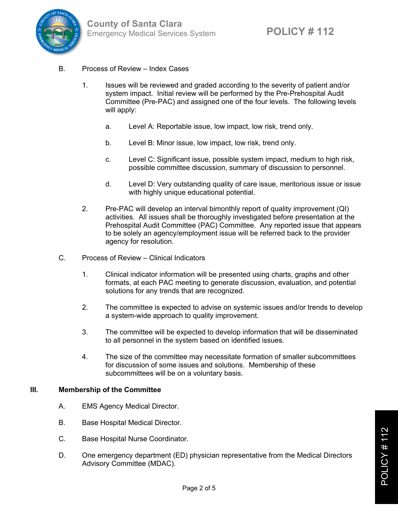

- B. Process of Review Index Cases
	- 1. Issues will be reviewed and graded according to the severity of patient and/or system impact. Initial review will be performed by the Pre-Prehospital Audit Committee (Pre-PAC) and assigned one of the four levels. The following levels will apply:
		- a. Level A: Reportable issue, low impact, low risk, trend only.
		- b. Level B: Minor issue, low impact, low risk, trend only.
		- c. Level C: Significant issue, possible system impact, medium to high risk, possible committee discussion, summary of discussion to personnel.
		- d. Level D: Very outstanding quality of care issue, meritorious issue or issue with highly unique educational potential.
	- 2. Pre-PAC will develop an interval bimonthly report of quality improvement (QI) activities. All issues shall be thoroughly investigated before presentation at the Prehospital Audit Committee (PAC) Committee. Any reported issue that appears to be solely an agency/employment issue will be referred back to the provider agency for resolution.
- C. Process of Review Clinical Indicators
	- 1. Clinical indicator information will be presented using charts, graphs and other formats, at each PAC meeting to generate discussion, evaluation, and potential solutions for any trends that are recognized.
	- 2. The committee is expected to advise on systemic issues and/or trends to develop a system-wide approach to quality improvement.
	- 3. The committee will be expected to develop information that will be disseminated to all personnel in the system based on identified issues.
	- 4. The size of the committee may necessitate formation of smaller subcommittees for discussion of some issues and solutions. Membership of these subcommittees will be on a voluntary basis.

## **III. Membership of the Committee**

- A. EMS Agency Medical Director.
- B. Base Hospital Medical Director.
- C. Base Hospital Nurse Coordinator.
- D. One emergency department (ED) physician representative from the Medical Directors Advisory Committee (MDAC).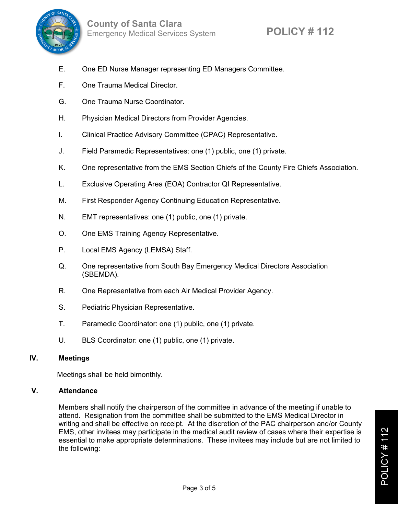

- E. One ED Nurse Manager representing ED Managers Committee.
- F. One Trauma Medical Director.
- G. One Trauma Nurse Coordinator.
- H. Physician Medical Directors from Provider Agencies.
- I. Clinical Practice Advisory Committee (CPAC) Representative.
- J. Field Paramedic Representatives: one (1) public, one (1) private.
- K. One representative from the EMS Section Chiefs of the County Fire Chiefs Association.
- L. Exclusive Operating Area (EOA) Contractor QI Representative.
- M. First Responder Agency Continuing Education Representative.
- N. EMT representatives: one (1) public, one (1) private.
- O. One EMS Training Agency Representative.
- P. Local EMS Agency (LEMSA) Staff.
- Q. One representative from South Bay Emergency Medical Directors Association (SBEMDA).
- R. One Representative from each Air Medical Provider Agency.
- S. Pediatric Physician Representative.
- T. Paramedic Coordinator: one (1) public, one (1) private.
- U. BLS Coordinator: one (1) public, one (1) private.

## **IV. Meetings**

Meetings shall be held bimonthly.

## **V. Attendance**

Members shall notify the chairperson of the committee in advance of the meeting if unable to attend. Resignation from the committee shall be submitted to the EMS Medical Director in writing and shall be effective on receipt. At the discretion of the PAC chairperson and/or County EMS, other invitees may participate in the medical audit review of cases where their expertise is essential to make appropriate determinations. These invitees may include but are not limited to the following: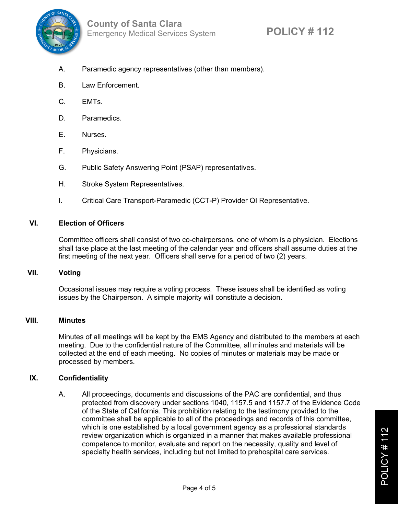

- A. Paramedic agency representatives (other than members).
- B. Law Enforcement.
- C. EMTs.
- D. Paramedics.
- E. Nurses.
- F. Physicians.
- G. Public Safety Answering Point (PSAP) representatives.
- H. Stroke System Representatives.
- I. Critical Care Transport-Paramedic (CCT-P) Provider QI Representative.

## **VI. Election of Officers**

Committee officers shall consist of two co-chairpersons, one of whom is a physician. Elections shall take place at the last meeting of the calendar year and officers shall assume duties at the first meeting of the next year. Officers shall serve for a period of two (2) years.

## **VII. Voting**

Occasional issues may require a voting process. These issues shall be identified as voting issues by the Chairperson. A simple majority will constitute a decision.

## **VIII. Minutes**

Minutes of all meetings will be kept by the EMS Agency and distributed to the members at each meeting. Due to the confidential nature of the Committee, all minutes and materials will be collected at the end of each meeting. No copies of minutes or materials may be made or processed by members.

## **IX. Confidentiality**

A. All proceedings, documents and discussions of the PAC are confidential, and thus protected from discovery under sections 1040, 1157.5 and 1157.7 of the Evidence Code of the State of California. This prohibition relating to the testimony provided to the committee shall be applicable to all of the proceedings and records of this committee, which is one established by a local government agency as a professional standards review organization which is organized in a manner that makes available professional competence to monitor, evaluate and report on the necessity, quality and level of specialty health services, including but not limited to prehospital care services.